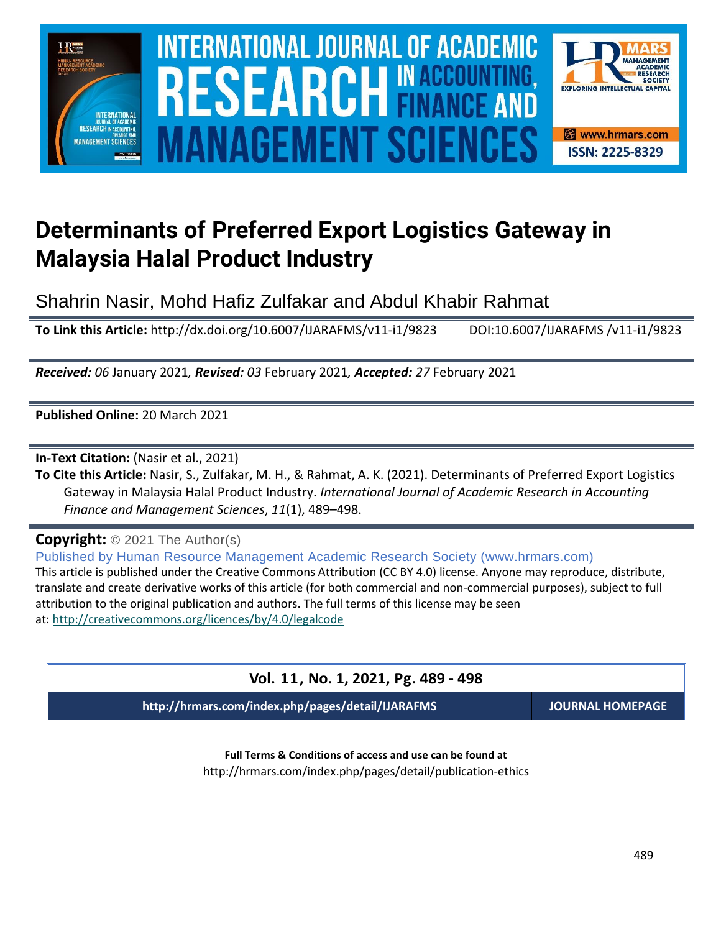

# **Determinants of Preferred Export Logistics Gateway in Malaysia Halal Product Industry**

Shahrin Nasir, Mohd Hafiz Zulfakar and Abdul Khabir Rahmat

**To Link this Article:** http://dx.doi.org/10.6007/IJARAFMS/v11-i1/9823 DOI:10.6007/IJARAFMS /v11-i1/9823

*Received: 06* January 2021*, Revised: 03* February 2021*, Accepted: 27* February 2021

**Published Online:** 20 March 2021

**In-Text Citation:** (Nasir et al., 2021)

**To Cite this Article:** Nasir, S., Zulfakar, M. H., & Rahmat, A. K. (2021). Determinants of Preferred Export Logistics Gateway in Malaysia Halal Product Industry. *International Journal of Academic Research in Accounting Finance and Management Sciences*, *11*(1), 489–498.

**Copyright:** © 2021 The Author(s)

Published by Human Resource Management Academic Research Society (www.hrmars.com) This article is published under the Creative Commons Attribution (CC BY 4.0) license. Anyone may reproduce, distribute, translate and create derivative works of this article (for both commercial and non-commercial purposes), subject to full attribution to the original publication and authors. The full terms of this license may be seen at: <http://creativecommons.org/licences/by/4.0/legalcode>

# **Vol. 11, No. 1, 2021, Pg. 489 - 498**

**http://hrmars.com/index.php/pages/detail/IJARAFMS JOURNAL HOMEPAGE**

**Full Terms & Conditions of access and use can be found at** http://hrmars.com/index.php/pages/detail/publication-ethics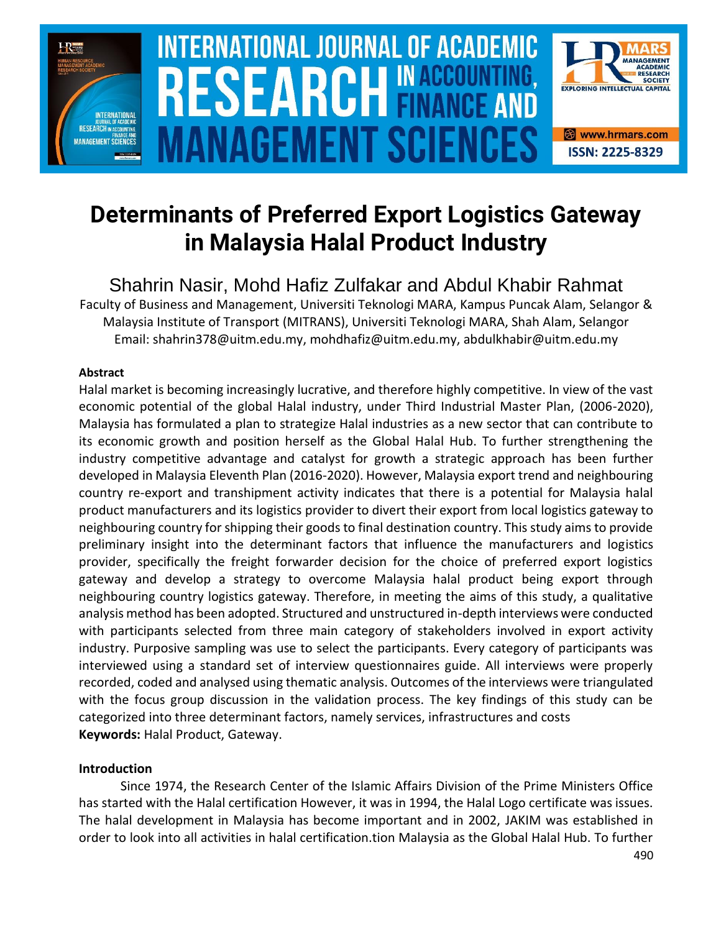

# **Determinants of Preferred Export Logistics Gateway in Malaysia Halal Product Industry**

Shahrin Nasir, Mohd Hafiz Zulfakar and Abdul Khabir Rahmat Faculty of Business and Management, Universiti Teknologi MARA, Kampus Puncak Alam, Selangor & Malaysia Institute of Transport (MITRANS), Universiti Teknologi MARA, Shah Alam, Selangor

Email: shahrin378@uitm.edu.my, mohdhafiz@uitm.edu.my, abdulkhabir@uitm.edu.my

### **Abstract**

Halal market is becoming increasingly lucrative, and therefore highly competitive. In view of the vast economic potential of the global Halal industry, under Third Industrial Master Plan, (2006-2020), Malaysia has formulated a plan to strategize Halal industries as a new sector that can contribute to its economic growth and position herself as the Global Halal Hub. To further strengthening the industry competitive advantage and catalyst for growth a strategic approach has been further developed in Malaysia Eleventh Plan (2016-2020). However, Malaysia export trend and neighbouring country re-export and transhipment activity indicates that there is a potential for Malaysia halal product manufacturers and its logistics provider to divert their export from local logistics gateway to neighbouring country for shipping their goods to final destination country. This study aims to provide preliminary insight into the determinant factors that influence the manufacturers and logistics provider, specifically the freight forwarder decision for the choice of preferred export logistics gateway and develop a strategy to overcome Malaysia halal product being export through neighbouring country logistics gateway. Therefore, in meeting the aims of this study, a qualitative analysis method has been adopted. Structured and unstructured in-depth interviews were conducted with participants selected from three main category of stakeholders involved in export activity industry. Purposive sampling was use to select the participants. Every category of participants was interviewed using a standard set of interview questionnaires guide. All interviews were properly recorded, coded and analysed using thematic analysis. Outcomes of the interviews were triangulated with the focus group discussion in the validation process. The key findings of this study can be categorized into three determinant factors, namely services, infrastructures and costs **Keywords:** Halal Product, Gateway.

### **Introduction**

Since 1974, the Research Center of the Islamic Affairs Division of the Prime Ministers Office has started with the Halal certification However, it was in 1994, the Halal Logo certificate was issues. The halal development in Malaysia has become important and in 2002, JAKIM was established in order to look into all activities in halal certification.tion Malaysia as the Global Halal Hub. To further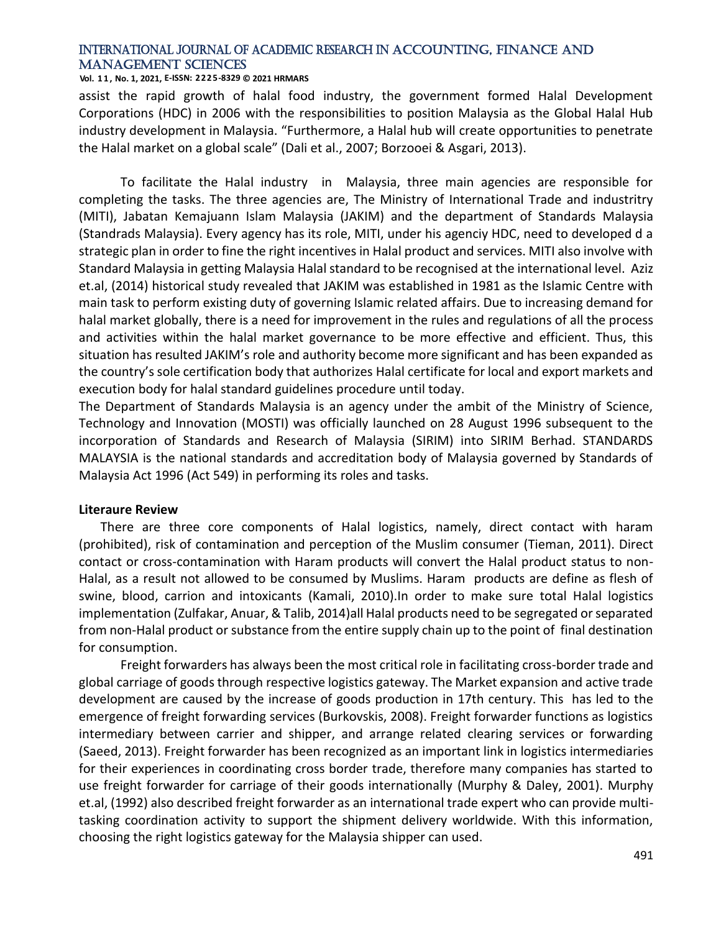#### **Vol. 1 1 , No. 1, 2021, E-ISSN: 2225-8329 © 2021 HRMARS**

assist the rapid growth of halal food industry, the government formed Halal Development Corporations (HDC) in 2006 with the responsibilities to position Malaysia as the Global Halal Hub industry development in Malaysia. "Furthermore, a Halal hub will create opportunities to penetrate the Halal market on a global scale" (Dali et al., 2007; Borzooei & Asgari, 2013).

To facilitate the Halal industry in Malaysia, three main agencies are responsible for completing the tasks. The three agencies are, The Ministry of International Trade and industritry (MITI), Jabatan Kemajuann Islam Malaysia (JAKIM) and the department of Standards Malaysia (Standrads Malaysia). Every agency has its role, MITI, under his agenciy HDC, need to developed d a strategic plan in order to fine the right incentives in Halal product and services. MITI also involve with Standard Malaysia in getting Malaysia Halal standard to be recognised at the international level. Aziz et.al, (2014) historical study revealed that JAKIM was established in 1981 as the Islamic Centre with main task to perform existing duty of governing Islamic related affairs. Due to increasing demand for halal market globally, there is a need for improvement in the rules and regulations of all the process and activities within the halal market governance to be more effective and efficient. Thus, this situation has resulted JAKIM's role and authority become more significant and has been expanded as the country's sole certification body that authorizes Halal certificate for local and export markets and execution body for halal standard guidelines procedure until today.

The Department of Standards Malaysia is an agency under the ambit of the Ministry of Science, Technology and Innovation (MOSTI) was officially launched on 28 August 1996 subsequent to the incorporation of Standards and Research of Malaysia (SIRIM) into SIRIM Berhad. STANDARDS MALAYSIA is the national standards and accreditation body of Malaysia governed by Standards of Malaysia Act 1996 (Act 549) in performing its roles and tasks.

#### **Literaure Review**

There are three core components of Halal logistics, namely, direct contact with haram (prohibited), risk of contamination and perception of the Muslim consumer (Tieman, 2011). Direct contact or cross-contamination with Haram products will convert the Halal product status to non-Halal, as a result not allowed to be consumed by Muslims. Haram products are define as flesh of swine, blood, carrion and intoxicants (Kamali, 2010).In order to make sure total Halal logistics implementation (Zulfakar, Anuar, & Talib, 2014)all Halal products need to be segregated or separated from non-Halal product or substance from the entire supply chain up to the point of final destination for consumption.

Freight forwarders has always been the most critical role in facilitating cross-border trade and global carriage of goods through respective logistics gateway. The Market expansion and active trade development are caused by the increase of goods production in 17th century. This has led to the emergence of freight forwarding services (Burkovskis, 2008). Freight forwarder functions as logistics intermediary between carrier and shipper, and arrange related clearing services or forwarding (Saeed, 2013). Freight forwarder has been recognized as an important link in logistics intermediaries for their experiences in coordinating cross border trade, therefore many companies has started to use freight forwarder for carriage of their goods internationally (Murphy & Daley, 2001). Murphy et.al, (1992) also described freight forwarder as an international trade expert who can provide multitasking coordination activity to support the shipment delivery worldwide. With this information, choosing the right logistics gateway for the Malaysia shipper can used.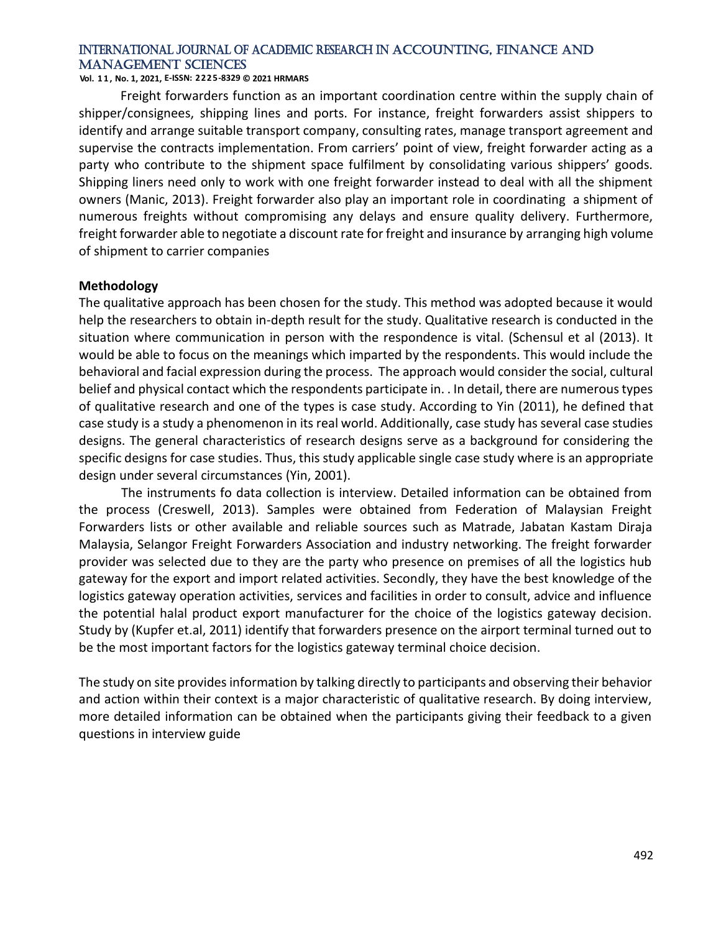### **Vol. 1 1 , No. 1, 2021, E-ISSN: 2225-8329 © 2021 HRMARS**

Freight forwarders function as an important coordination centre within the supply chain of shipper/consignees, shipping lines and ports. For instance, freight forwarders assist shippers to identify and arrange suitable transport company, consulting rates, manage transport agreement and supervise the contracts implementation. From carriers' point of view, freight forwarder acting as a party who contribute to the shipment space fulfilment by consolidating various shippers' goods. Shipping liners need only to work with one freight forwarder instead to deal with all the shipment owners (Manic, 2013). Freight forwarder also play an important role in coordinating a shipment of numerous freights without compromising any delays and ensure quality delivery. Furthermore, freight forwarder able to negotiate a discount rate for freight and insurance by arranging high volume of shipment to carrier companies

#### **Methodology**

The qualitative approach has been chosen for the study. This method was adopted because it would help the researchers to obtain in-depth result for the study. Qualitative research is conducted in the situation where communication in person with the respondence is vital. (Schensul et al (2013). It would be able to focus on the meanings which imparted by the respondents. This would include the behavioral and facial expression during the process. The approach would consider the social, cultural belief and physical contact which the respondents participate in. . In detail, there are numerous types of qualitative research and one of the types is case study. According to Yin (2011), he defined that case study is a study a phenomenon in its real world. Additionally, case study has several case studies designs. The general characteristics of research designs serve as a background for considering the specific designs for case studies. Thus, this study applicable single case study where is an appropriate design under several circumstances (Yin, 2001).

The instruments fo data collection is interview. Detailed information can be obtained from the process (Creswell, 2013). Samples were obtained from Federation of Malaysian Freight Forwarders lists or other available and reliable sources such as Matrade, Jabatan Kastam Diraja Malaysia, Selangor Freight Forwarders Association and industry networking. The freight forwarder provider was selected due to they are the party who presence on premises of all the logistics hub gateway for the export and import related activities. Secondly, they have the best knowledge of the logistics gateway operation activities, services and facilities in order to consult, advice and influence the potential halal product export manufacturer for the choice of the logistics gateway decision. Study by (Kupfer et.al, 2011) identify that forwarders presence on the airport terminal turned out to be the most important factors for the logistics gateway terminal choice decision.

The study on site provides information by talking directly to participants and observing their behavior and action within their context is a major characteristic of qualitative research. By doing interview, more detailed information can be obtained when the participants giving their feedback to a given questions in interview guide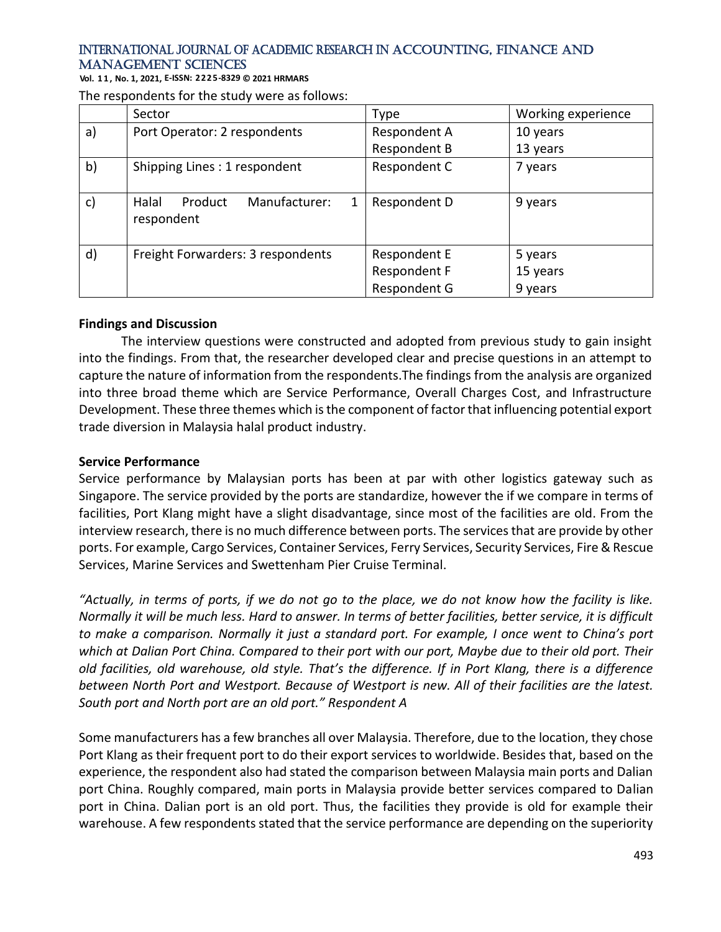**Vol. 1 1 , No. 1, 2021, E-ISSN: 2225-8329 © 2021 HRMARS**

|               | Sector                                               | Type                                         | Working experience             |
|---------------|------------------------------------------------------|----------------------------------------------|--------------------------------|
| a)            | Port Operator: 2 respondents                         | Respondent A                                 | 10 years                       |
|               |                                                      | Respondent B                                 | 13 years                       |
| b)            | Shipping Lines: 1 respondent                         | Respondent C                                 | 7 years                        |
| $\mathsf{c})$ | Manufacturer:<br>Product<br>Halal<br>1<br>respondent | Respondent D                                 | 9 years                        |
| $\mathsf{d}$  | Freight Forwarders: 3 respondents                    | Respondent E<br>Respondent F<br>Respondent G | 5 years<br>15 years<br>9 years |

#### **Findings and Discussion**

The interview questions were constructed and adopted from previous study to gain insight into the findings. From that, the researcher developed clear and precise questions in an attempt to capture the nature of information from the respondents.The findings from the analysis are organized into three broad theme which are Service Performance, Overall Charges Cost, and Infrastructure Development. These three themes which is the component of factor that influencing potential export trade diversion in Malaysia halal product industry.

#### **Service Performance**

Service performance by Malaysian ports has been at par with other logistics gateway such as Singapore. The service provided by the ports are standardize, however the if we compare in terms of facilities, Port Klang might have a slight disadvantage, since most of the facilities are old. From the interview research, there is no much difference between ports. The services that are provide by other ports. For example[, Cargo Services, C](http://penangport.com.my/Services/Cargo-Services)ontainer Services, [Ferry Services,](http://penangport.com.my/Services/Ferry-Services) [Security Services,](http://penangport.com.my/Services/Security-Services) [Fire & Rescue](http://penangport.com.my/Services/Fire-Rescue-Services)  [Services,](http://penangport.com.my/Services/Fire-Rescue-Services) [Marine Services a](http://penangport.com.my/Services/Marine-Services)nd [Swettenham Pier Cruise Terminal.](http://penangport.com.my/Services/Swettenham-Pier-Cruise-Terminal)

*"Actually, in terms of ports, if we do not go to the place, we do not know how the facility is like. Normally it will be much less. Hard to answer. In terms of better facilities, better service, it is difficult to make a comparison. Normally it just a standard port. For example, I once went to China's port which at Dalian Port China. Compared to their port with our port, Maybe due to their old port. Their old facilities, old warehouse, old style. That's the difference. If in Port Klang, there is a difference between North Port and Westport. Because of Westport is new. All of their facilities are the latest. South port and North port are an old port." Respondent A*

Some manufacturers has a few branches all over Malaysia. Therefore, due to the location, they chose Port Klang as their frequent port to do their export services to worldwide. Besides that, based on the experience, the respondent also had stated the comparison between Malaysia main ports and Dalian port China. Roughly compared, main ports in Malaysia provide better services compared to Dalian port in China. Dalian port is an old port. Thus, the facilities they provide is old for example their warehouse. A few respondents stated that the service performance are depending on the superiority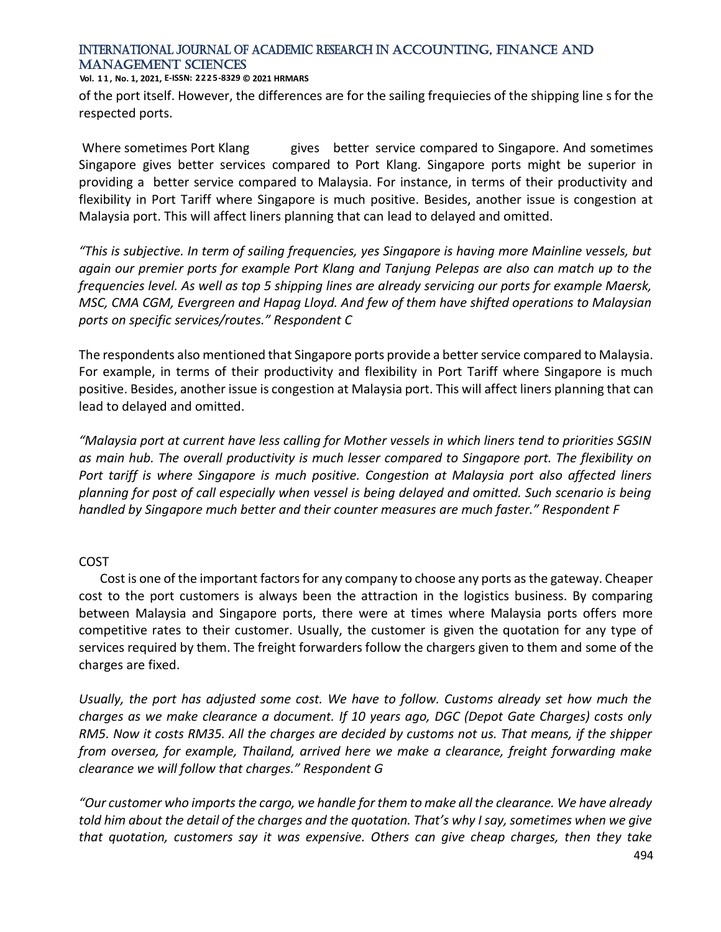**Vol. 1 1 , No. 1, 2021, E-ISSN: 2225-8329 © 2021 HRMARS**

of the port itself. However, the differences are for the sailing frequiecies of the shipping line s for the respected ports.

Where sometimes Port Klang gives better service compared to Singapore. And sometimes Singapore gives better services compared to Port Klang. Singapore ports might be superior in providing a better service compared to Malaysia. For instance, in terms of their productivity and flexibility in Port Tariff where Singapore is much positive. Besides, another issue is congestion at Malaysia port. This will affect liners planning that can lead to delayed and omitted.

*"This is subjective. In term of sailing frequencies, yes Singapore is having more Mainline vessels, but again our premier ports for example Port Klang and Tanjung Pelepas are also can match up to the frequencies level. As well as top 5 shipping lines are already servicing our ports for example Maersk, MSC, CMA CGM, Evergreen and Hapag Lloyd. And few of them have shifted operations to Malaysian ports on specific services/routes." Respondent C*

The respondents also mentioned that Singapore ports provide a better service compared to Malaysia. For example, in terms of their productivity and flexibility in Port Tariff where Singapore is much positive. Besides, another issue is congestion at Malaysia port. This will affect liners planning that can lead to delayed and omitted.

*"Malaysia port at current have less calling for Mother vessels in which liners tend to priorities SGSIN as main hub. The overall productivity is much lesser compared to Singapore port. The flexibility on Port tariff is where Singapore is much positive. Congestion at Malaysia port also affected liners planning for post of call especially when vessel is being delayed and omitted. Such scenario is being handled by Singapore much better and their counter measures are much faster." Respondent F*

### COST

Cost is one of the important factors for any company to choose any ports as the gateway. Cheaper cost to the port customers is always been the attraction in the logistics business. By comparing between Malaysia and Singapore ports, there were at times where Malaysia ports offers more competitive rates to their customer. Usually, the customer is given the quotation for any type of services required by them. The freight forwarders follow the chargers given to them and some of the charges are fixed.

*Usually, the port has adjusted some cost. We have to follow. Customs already set how much the charges as we make clearance a document. If 10 years ago, DGC (Depot Gate Charges) costs only RM5. Now it costs RM35. All the charges are decided by customs not us. That means, if the shipper from oversea, for example, Thailand, arrived here we make a clearance, freight forwarding make clearance we will follow that charges." Respondent G*

*"Our customer who imports the cargo, we handle for them to make all the clearance. We have already told him about the detail of the charges and the quotation. That's why I say, sometimes when we give that quotation, customers say it was expensive. Others can give cheap charges, then they take*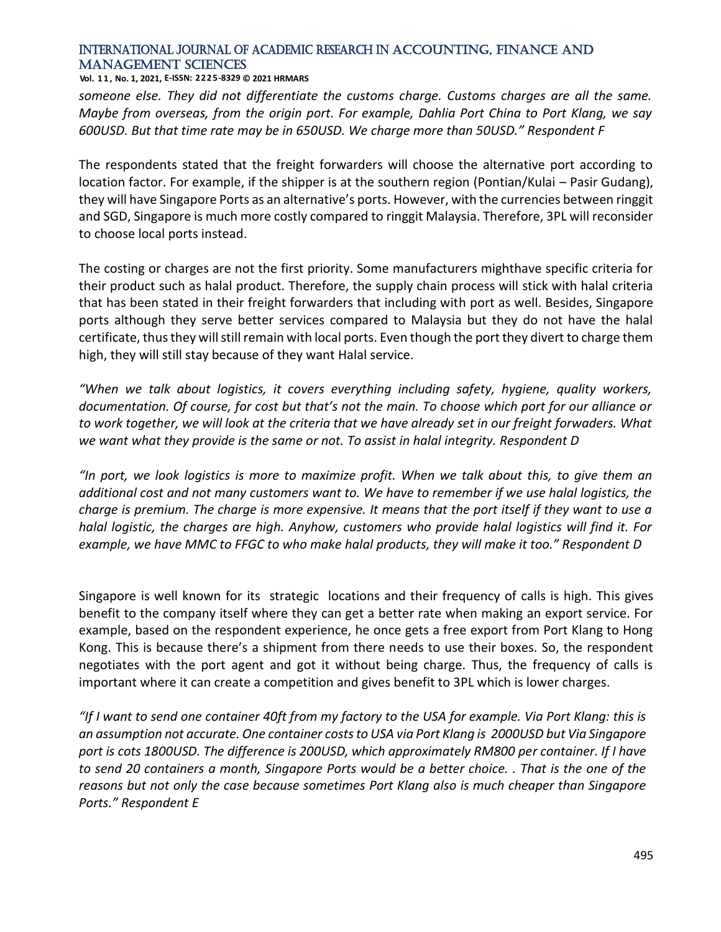**Vol. 1 1 , No. 1, 2021, E-ISSN: 2225-8329 © 2021 HRMARS**

*someone else. They did not differentiate the customs charge. Customs charges are all the same. Maybe from overseas, from the origin port. For example, Dahlia Port China to Port Klang, we say 600USD. But that time rate may be in 650USD. We charge more than 50USD." Respondent F*

The respondents stated that the freight forwarders will choose the alternative port according to location factor. For example, if the shipper is at the southern region (Pontian/Kulai – Pasir Gudang), they will have Singapore Ports as an alternative's ports. However, with the currencies between ringgit and SGD, Singapore is much more costly compared to ringgit Malaysia. Therefore, 3PL will reconsider to choose local ports instead.

The costing or charges are not the first priority. Some manufacturers mighthave specific criteria for their product such as halal product. Therefore, the supply chain process will stick with halal criteria that has been stated in their freight forwarders that including with port as well. Besides, Singapore ports although they serve better services compared to Malaysia but they do not have the halal certificate, thus they will still remain with local ports. Even though the port they divert to charge them high, they will still stay because of they want Halal service.

*"When we talk about logistics, it covers everything including safety, hygiene, quality workers, documentation. Of course, for cost but that's not the main. To choose which port for our alliance or to work together, we will look at the criteria that we have already set in our freight forwaders. What we want what they provide is the same or not. To assist in halal integrity. Respondent D*

*"In port, we look logistics is more to maximize profit. When we talk about this, to give them an additional cost and not many customers want to. We have to remember if we use halal logistics, the charge is premium. The charge is more expensive. It means that the port itself if they want to use a halal logistic, the charges are high. Anyhow, customers who provide halal logistics will find it. For example, we have MMC to FFGC to who make halal products, they will make it too." Respondent D*

Singapore is well known for its strategic locations and their frequency of calls is high. This gives benefit to the company itself where they can get a better rate when making an export service. For example, based on the respondent experience, he once gets a free export from Port Klang to Hong Kong. This is because there's a shipment from there needs to use their boxes. So, the respondent negotiates with the port agent and got it without being charge. Thus, the frequency of calls is important where it can create a competition and gives benefit to 3PL which is lower charges.

*"If I want to send one container 40ft from my factory to the USA for example. Via Port Klang: this is an assumption not accurate. One container costs to USA via Port Klang is 2000USD but Via Singapore port is cots 1800USD. The difference is 200USD, which approximately RM800 per container. If I have to send 20 containers a month, Singapore Ports would be a better choice. . That is the one of the reasons but not only the case because sometimes Port Klang also is much cheaper than Singapore Ports." Respondent E*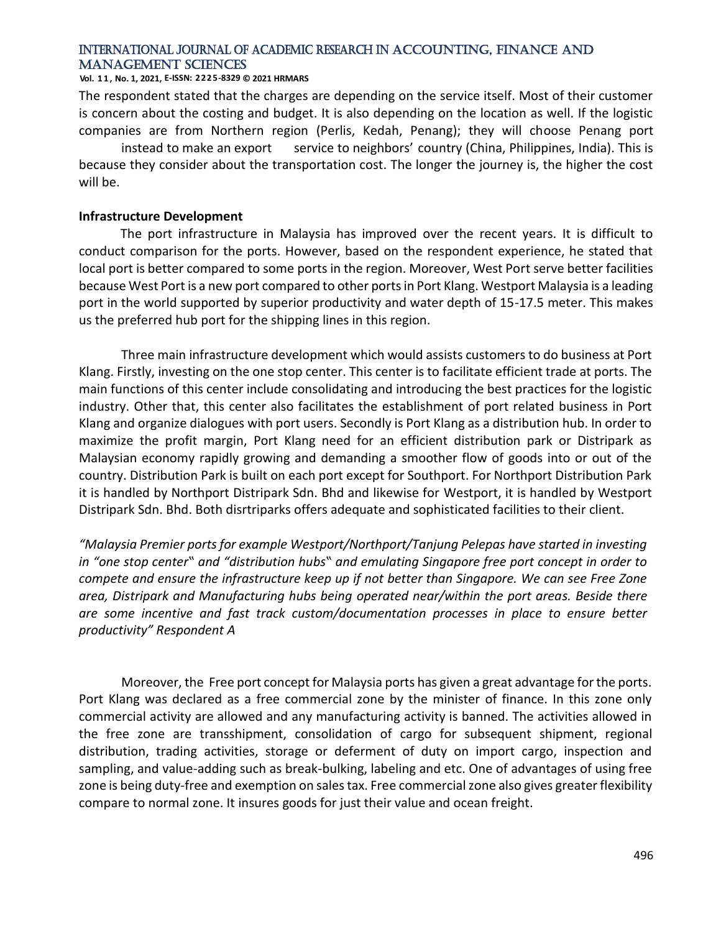#### **Vol. 1 1 , No. 1, 2021, E-ISSN: 2225-8329 © 2021 HRMARS**

The respondent stated that the charges are depending on the service itself. Most of their customer is concern about the costing and budget. It is also depending on the location as well. If the logistic companies are from Northern region (Perlis, Kedah, Penang); they will choose Penang port

instead to make an export service to neighbors' country (China, Philippines, India). This is because they consider about the transportation cost. The longer the journey is, the higher the cost will be.

#### **Infrastructure Development**

The port infrastructure in Malaysia has improved over the recent years. It is difficult to conduct comparison for the ports. However, based on the respondent experience, he stated that local port is better compared to some ports in the region. Moreover, West Port serve better facilities because West Port is a new port compared to other ports in Port Klang. Westport Malaysia is a leading port in the world supported by superior productivity and water depth of 15-17.5 meter. This makes us the preferred hub port for the shipping lines in this region.

Three main infrastructure development which would assists customers to do business at Port Klang. Firstly, investing on the one stop center. This center is to facilitate efficient trade at ports. The main functions of this center include consolidating and introducing the best practices for the logistic industry. Other that, this center also facilitates the establishment of port related business in Port Klang and organize dialogues with port users. Secondly is Port Klang as a distribution hub. In order to maximize the profit margin, Port Klang need for an efficient distribution park or Distripark as Malaysian economy rapidly growing and demanding a smoother flow of goods into or out of the country. Distribution Park is built on each port except for Southport. For Northport Distribution Park it is handled by Northport Distripark Sdn. Bhd and likewise for Westport, it is handled by Westport Distripark Sdn. Bhd. Both disrtriparks offers adequate and sophisticated facilities to their client.

*"Malaysia Premier ports for example Westport/Northport/Tanjung Pelepas have started in investing in "one stop center" and "distribution hubs" and emulating Singapore free port concept in order to compete and ensure the infrastructure keep up if not better than Singapore. We can see Free Zone area, Distripark and Manufacturing hubs being operated near/within the port areas. Beside there are some incentive and fast track custom/documentation processes in place to ensure better productivity" Respondent A*

Moreover, the Free port concept for Malaysia ports has given a great advantage for the ports. Port Klang was declared as a free commercial zone by the minister of finance. In this zone only commercial activity are allowed and any manufacturing activity is banned. The activities allowed in the free zone are transshipment, consolidation of cargo for subsequent shipment, regional distribution, trading activities, storage or deferment of duty on import cargo, inspection and sampling, and value-adding such as break-bulking, labeling and etc. One of advantages of using free zone is being duty-free and exemption on sales tax. Free commercial zone also gives greater flexibility compare to normal zone. It insures goods for just their value and ocean freight.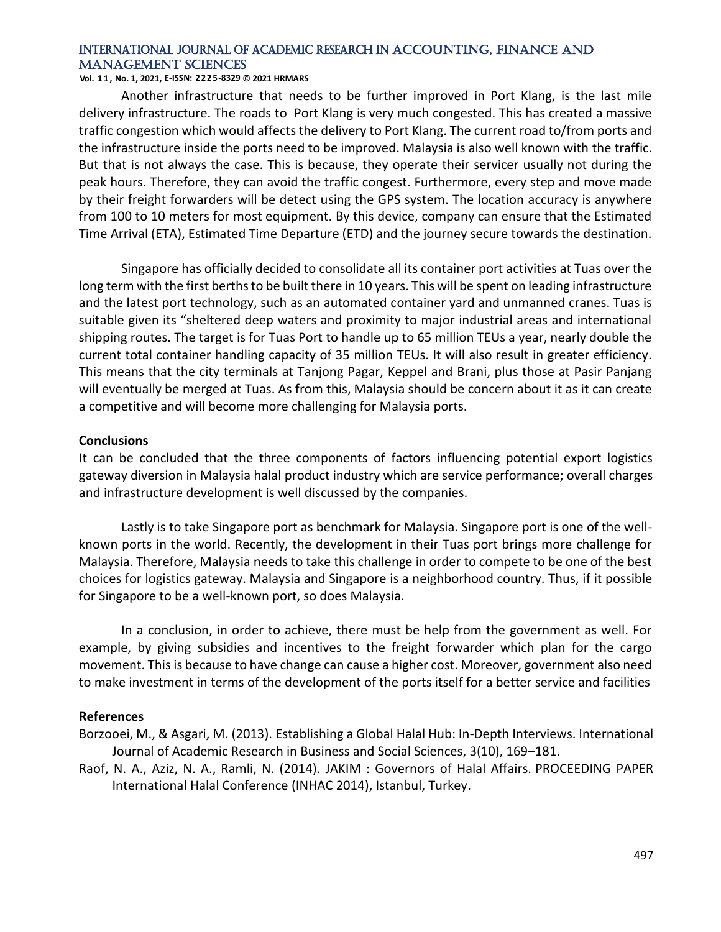### **Vol. 1 1 , No. 1, 2021, E-ISSN: 2225-8329 © 2021 HRMARS**

Another infrastructure that needs to be further improved in Port Klang, is the last mile delivery infrastructure. The roads to Port Klang is very much congested. This has created a massive traffic congestion which would affects the delivery to Port Klang. The current road to/from ports and the infrastructure inside the ports need to be improved. Malaysia is also well known with the traffic. But that is not always the case. This is because, they operate their servicer usually not during the peak hours. Therefore, they can avoid the traffic congest. Furthermore, every step and move made by their freight forwarders will be detect using the GPS system. The location accuracy is anywhere from 100 to 10 meters for most equipment. By this device, company can ensure that the Estimated Time Arrival (ETA), Estimated Time Departure (ETD) and the journey secure towards the destination.

Singapore has officially decided to consolidate all its container port activities at Tuas over the long term with the first berths to be built there in 10 years. This will be spent on leading infrastructure and the latest port technology, such as an automated container yard and unmanned cranes. Tuas is suitable given its "sheltered deep waters and proximity to major industrial areas and international shipping routes. The target is for Tuas Port to handle up to 65 million TEUs a year, nearly double the current total container handling capacity of 35 million TEUs. It will also result in greater efficiency. This means that the city terminals at Tanjong Pagar, Keppel and Brani, plus those at Pasir Panjang will eventually be merged at Tuas. As from this, Malaysia should be concern about it as it can create a competitive and will become more challenging for Malaysia ports.

#### **Conclusions**

It can be concluded that the three components of factors influencing potential export logistics gateway diversion in Malaysia halal product industry which are service performance; overall charges and infrastructure development is well discussed by the companies.

Lastly is to take Singapore port as benchmark for Malaysia. Singapore port is one of the wellknown ports in the world. Recently, the development in their Tuas port brings more challenge for Malaysia. Therefore, Malaysia needs to take this challenge in order to compete to be one of the best choices for logistics gateway. Malaysia and Singapore is a neighborhood country. Thus, if it possible for Singapore to be a well-known port, so does Malaysia.

In a conclusion, in order to achieve, there must be help from the government as well. For example, by giving subsidies and incentives to the freight forwarder which plan for the cargo movement. This is because to have change can cause a higher cost. Moreover, government also need to make investment in terms of the development of the ports itself for a better service and facilities

#### **References**

- Borzooei, M., & Asgari, M. (2013). Establishing a Global Halal Hub: In-Depth Interviews. International Journal of Academic Research in Business and Social Sciences, 3(10), 169–181.
- Raof, N. A., Aziz, N. A., Ramli, N. (2014). JAKIM : Governors of Halal Affairs. PROCEEDING PAPER International Halal Conference (INHAC 2014), Istanbul, Turkey.